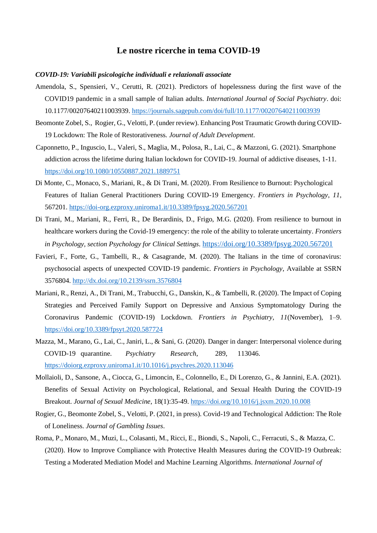# **Le nostre ricerche in tema COVID-19**

#### *COVID-19: Variabili psicologiche individuali e relazionali associate*

- Amendola, S., Spensieri, V., Cerutti, R. (2021). Predictors of hopelessness during the first wave of the COVID19 pandemic in a small sample of Italian adults. *International Journal of Social Psychiatry*. doi: 10.1177/00207640211003939.<https://journals.sagepub.com/doi/full/10.1177/00207640211003939>
- Beomonte Zobel, S., Rogier, G., Velotti, P. (under review). Enhancing Post Traumatic Growth during COVID-19 Lockdown: The Role of Restorativeness*. Journal of Adult Development*.
- Caponnetto, P., Inguscio, L., Valeri, S., Maglia, M., Polosa, R., Lai, C., & Mazzoni, G. (2021). Smartphone addiction across the lifetime during Italian lockdown for COVID-19. Journal of addictive diseases, 1-11. <https://doi.org/10.1080/10550887.2021.1889751>
- Di Monte, C., Monaco, S., Mariani, R., & Di Trani, M. (2020). From Resilience to Burnout: Psychological Features of Italian General Practitioners During COVID-19 Emergency. *Frontiers in Psychology*, *11*, 567201.<https://doi-org.ezproxy.uniroma1.it/10.3389/fpsyg.2020.567201>
- Di Trani, M., Mariani, R., Ferri, R., De Berardinis, D., Frigo, M.G. (2020). From resilience to burnout in healthcare workers during the Covid-19 emergency: the role of the ability to tolerate uncertainty. *Frontiers in Psychology, section Psychology for Clinical Settings*. <https://doi.org/10.3389/fpsyg.2020.567201>
- Favieri, F., Forte, G., Tambelli, R., & Casagrande, M. (2020). The Italians in the time of coronavirus: psychosocial aspects of unexpected COVID-19 pandemic. *Frontiers in Psychology*, Available at SSRN 3576804.<http://dx.doi.org/10.2139/ssrn.3576804>
- Mariani, R., Renzi, A., Di Trani, M., Trabucchi, G., Danskin, K., & Tambelli, R. (2020). The Impact of Coping Strategies and Perceived Family Support on Depressive and Anxious Symptomatology During the Coronavirus Pandemic (COVID-19) Lockdown. *Frontiers in Psychiatry*, *11*(November), 1–9. <https://doi.org/10.3389/fpsyt.2020.587724>
- Mazza, M., Marano, G., Lai, C., Janiri, L., & Sani, G. (2020). Danger in danger: Interpersonal violence during COVID-19 quarantine. *Psychiatry Research*, 289, 113046[.](https://doi-org.ezproxy.uniroma1.it/10.1016/j.psychres.2020.113046) [https://doiorg.ezproxy.uniroma1.it/10.1016/j.psychres.2020.113046](https://doi-org.ezproxy.uniroma1.it/10.1016/j.psychres.2020.113046)
- Mollaioli, D., Sansone, A., Ciocca, G., Limoncin, E., Colonnello, E., Di Lorenzo, G., & Jannini, E.A. (2021). Benefits of Sexual Activity on Psychological, Relational, and Sexual Health During the COVID-19 Breakout. *Journal of Sexual Medicine*, 18(1):35-49. <https://doi.org/10.1016/j.jsxm.2020.10.008>
- Rogier, G., Beomonte Zobel, S., Velotti, P. (2021, in press). Covid-19 and Technological Addiction: The Role of Loneliness. *Journal of Gambling Issues*.
- Roma, P., Monaro, M., Muzi, L., Colasanti, M., Ricci, E., Biondi, S., Napoli, C., Ferracuti, S., & Mazza, C. (2020). How to Improve Compliance with Protective Health Measures during the COVID-19 Outbreak: Testing a Moderated Mediation Model and Machine Learning Algorithms. *International Journal of*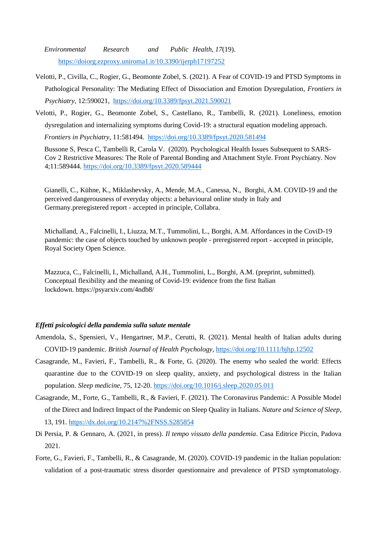*Environmental Research and Public Health*, *17*(19). [https://doiorg.ezproxy.uniroma1.it/10.3390/ijerph17197252](https://doi-org.ezproxy.uniroma1.it/10.3390/ijerph17197252)

- Velotti, P., Civilla, C., Rogier, G., Beomonte Zobel, S. (2021). A Fear of COVID-19 and PTSD Symptoms in Pathological Personality: The Mediating Effect of Dissociation and Emotion Dysregulation, *Frontiers in Psychiatry*, 12:590021,<https://doi.org/10.3389/fpsyt.2021.590021>
- Velotti, P., Rogier, G., Beomonte Zobel, S., Castellano, R., Tambelli, R. (2021). Loneliness, emotion dysregulation and internalizing symptoms during Covid-19: a structural equation modeling approach.

*Frontiers in Psychiatry*, 11:581494.<https://doi.org/10.3389/fpsyt.2020.581494>

Bussone S, Pesca C, Tambelli R, Carola V. (2020). Psychological Health Issues Subsequent to SARS-Cov 2 Restrictive Measures: The Role of Parental Bonding and Attachment Style. Front Psychiatry. Nov 4;11:589444. <https://doi.org/10.3389/fpsyt.2020.589444>

Gianelli, C., Kühne, K., Miklashevsky, A., Mende, M.A., Canessa, N., Borghi, A.M. COVID-19 and the perceived dangerousness of everyday objects: a behavioural online study in Italy and Germany.preregistered report - accepted in principle, Collabra.

Michalland, A., Falcinelli, I., Liuzza, M.T., Tummolini, L., Borghi, A.M. Affordances in the CoviD-19 pandemic: the case of objects touched by unknown people - preregistered report - accepted in principle, Royal Society Open Science.

Mazzuca, C., Falcinelli, I., Michalland, A.H., Tummolini, L., Borghi, A.M. (preprint, submitted). Conceptual flexibility and the meaning of Covid-19: evidence from the first Italian lockdown. https://psyarxiv.com/4ndb8/

## *Effetti psicologici della pandemia sulla salute mentale*

- Amendola, S., Spensieri, V., Hengartner, M.P., Cerutti, R. (2021). Mental health of Italian adults during COVID-19 pandemic. *British Journal of Health Psychology[,](https://doi.org/10.1111/bjhp.12502)* <https://doi.org/10.1111/bjhp.12502>
- Casagrande, M., Favieri, F., Tambelli, R., & Forte, G. (2020). The enemy who sealed the world: Effects quarantine due to the COVID-19 on sleep quality, anxiety, and psychological distress in the Italian population. *Sleep medicine*, 75, 12-20.<https://doi.org/10.1016/j.sleep.2020.05.011>
- Casagrande, M., Forte, G., Tambelli, R., & Favieri, F. (2021). The Coronavirus Pandemic: A Possible Model of the Direct and Indirect Impact of the Pandemic on Sleep Quality in Italians. *Nature and Science of Sleep*, 13, 191.<https://dx.doi.org/10.2147%2FNSS.S285854>
- Di Persia, P. & Gennaro, A. (2021, in press). *Il tempo vissuto della pandemia*. Casa Editrice Piccin, Padova 2021.
- Forte, G., Favieri, F., Tambelli, R., & Casagrande, M. (2020). COVID-19 pandemic in the Italian population: validation of a post-traumatic stress disorder questionnaire and prevalence of PTSD symptomatology.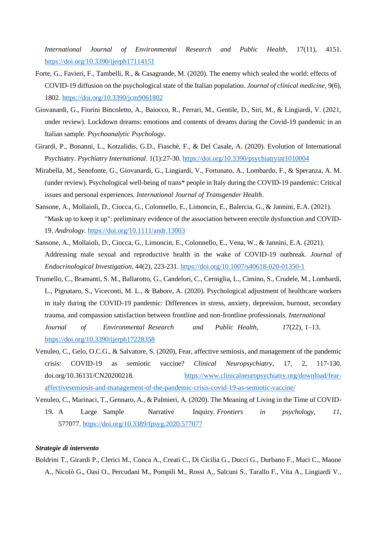*International Journal of Environmental Research and Public Health*, 17(11), 4151. <https://doi.org/10.3390/ijerph17114151>

- Forte, G., Favieri, F., Tambelli, R., & Casagrande, M. (2020). The enemy which sealed the world: effects of COVID-19 diffusion on the psychological state of the Italian population. *Journal of clinical medicine*, 9(6), 1802.<https://doi.org/10.3390/jcm9061802>
- Giovanardi, G., Fiorini Bincoletto, A., Baiocco, R., Ferrari, M., Gentile, D., Siri, M., & Lingiardi, V. (2021, under review). Lockdown dreams: emotions and contents of dreams during the Covid-19 pandemic in an Italian sample. *Psychoanalytic Psychology*.
- Girardi, P., Bonanni, L., Kotzalidis, G.D., Fiaschè, F., & Del Casale, A. (2020). Evolution of International Psychiatry. *Psychiatry International*. 1(1):27-30.<https://doi.org/10.3390/psychiatryint1010004>
- Mirabella, M., Senofonte, G., Giovanardi, G., Lingiardi, V., Fortunato, A., Lombardo, F., & Speranza, A. M. (under review). Psychological well-being of trans\* people in Italy during the COVID-19 pandemic: Critical issues and personal experiences. *International Journal of Transgender Health*.
- Sansone, A., Mollaioli, D., Ciocca, G., Colonnello, E., Limoncin, E., Balercia, G., & Jannini, E.A. (2021). "Mask up to keep it up": preliminary evidence of the association between erectile dysfunction and COVID-19. *Andrology*.<https://doi.org/10.1111/andr.13003>
- Sansone, A., Mollaioli, D., Ciocca, G., Limoncin, E., Colonnello, E., Vena, W., & Jannini, E.A. (2021). Addressing male sexual and reproductive health in the wake of COVID-19 outbreak. *Journal of Endocrinological Investigation*, 44(2), 223-231.<https://doi.org/10.1007/s40618-020-01350-1>
- Trumello, C., Bramanti, S. M., Ballarotto, G., Candelori, C., Cerniglia, L., Cimino, S., Crudele, M., Lombardi, L., Pignataro, S., Viceconti, M. L., & Babore, A. (2020). Psychological adjustment of healthcare workers in italy during the COVID-19 pandemic: Differences in stress, anxiety, depression, burnout, secondary trauma, and compassion satisfaction between frontline and non-frontline professionals. *International Journal of Environmental Research and Public Health*, *17*(22), 1–13. <https://doi.org/10.3390/ijerph17228358>
- Venuleo, C., Gelo, O.C.G., & Salvatore, S. (2020), Fear, affective semiosis, and management of the pandemic crisis: COVID-19 as semiotic vaccine? *Clinical Neuropsychiatry*, 17, 2, 117-130. doi.org/10.36131/CN20200218. [https://www.clinicalneuropsychiatry.org/download/fear](https://www.clinicalneuropsychiatry.org/download/fear-affective-semiosis-and-management-of-the-pandemic-crisis-covid-19-as-semiotic-vaccine/)[affectivesemiosis-and-management-of-the-pandemic-crisis-covid-19-as-semiotic-vaccine/](https://www.clinicalneuropsychiatry.org/download/fear-affective-semiosis-and-management-of-the-pandemic-crisis-covid-19-as-semiotic-vaccine/)
- Venuleo, C., Marinaci, T., Gennaro, A., & Palmieri, A. (2020). The Meaning of Living in the Time of COVID-19. A Large Sample Narrative Inquiry. *Frontiers in psychology*, *11*, 577077.<https://doi.org/10.3389/fpsyg.2020.577077>

### *Strategie di intervento*

Boldrini T., Girardi P., Clerici M., Conca A., Creati C., Di Cicilia G., Ducci G., Durbano F., Maci C., Maone A., Nicolò G., Oasi O., Percudani M., Pompili M., Rossi A., Salcuni S., Tarallo F., Vita A., Lingiardi V.,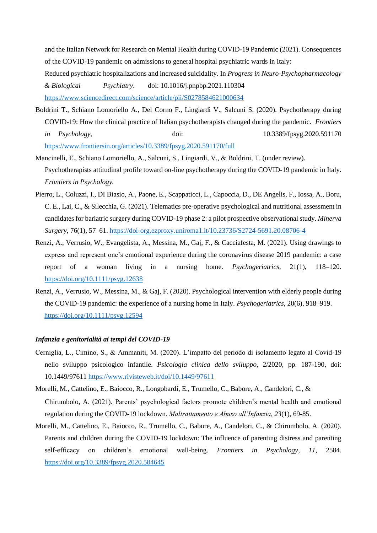and the Italian Network for Research on Mental Health during COVID-19 Pandemic (2021). Consequences of the COVID-19 pandemic on admissions to general hospital psychiatric wards in Italy: Reduced psychiatric hospitalizations and increased suicidality. In *Progress in Neuro-Psychopharmacology & Biological Psychiatry*. doi: 10.1016/j.pnpbp.2021.110304 <https://www.sciencedirect.com/science/article/pii/S0278584621000634>

- Boldrini T., Schiano Lomoriello A., Del Corno F., Lingiardi V., Salcuni S. (2020). Psychotherapy during COVID-19: How the clinical practice of Italian psychotherapists changed during the pandemic. *Frontiers in Psychology*, doi: 10.3389/fpsyg.2020.591170 <https://www.frontiersin.org/articles/10.3389/fpsyg.2020.591170/full>
- Mancinelli, E., Schiano Lomoriello, A., Salcuni, S., Lingiardi, V., & Boldrini, T. (under review). Psychotherapists attitudinal profile toward on-line psychotherapy during the COVID-19 pandemic in Italy. *Frontiers in Psychology.*
- Pierro, L., Coluzzi, I., DI Biasio, A., Paone, E., Scappaticci, L., Capoccia, D., DE Angelis, F., Iossa, A., Boru, C. E., Lai, C., & Silecchia, G. (2021). Telematics pre-operative psychological and nutritional assessment in candidates for bariatric surgery during COVID-19 phase 2: a pilot prospective observational study. *Minerva Surgery*, 76(1), 57–61. <https://doi-org.ezproxy.uniroma1.it/10.23736/S2724-5691.20.08706-4>
- Renzi, A., Verrusio, W., Evangelista, A., Messina, M., Gaj, F., & Cacciafesta, M. (2021). Using drawings to express and represent one's emotional experience during the coronavirus disease 2019 pandemic: a case report of a woman living in a nursing home. *Psychogeriatrics*, 21(1), 118–120. <https://doi.org/10.1111/psyg.12638>
- Renzi, A., Verrusio, W., Messina, M., & Gaj, F. (2020). Psychological intervention with elderly people during the COVID-19 pandemic: the experience of a nursing home in Italy. *Psychogeriatrics*, 20(6), 918–919. <https://doi.org/10.1111/psyg.12594>

#### *Infanzia e genitorialità ai tempi del COVID-19*

- Cerniglia, L., Cimino, S., & Ammaniti, M. (2020). L'impatto del periodo di isolamento legato al Covid-19 nello sviluppo psicologico infantile. *Psicologia clinica dello sviluppo*, 2/2020, pp. 187-190, doi: 10.1449/9761[1 https://www.rivisteweb.it/doi/10.1449/97611](https://www.rivisteweb.it/doi/10.1449/97611)
- Morelli, M., Cattelino, E., Baiocco, R., Longobardi, E., Trumello, C., Babore, A., Candelori, C., & Chirumbolo, A. (2021). Parents' psychological factors promote children's mental health and emotional regulation during the COVID-19 lockdown. *Maltrattamento e Abuso all'Infanzia*, *23*(1), 69-85.
- Morelli, M., Cattelino, E., Baiocco, R., Trumello, C., Babore, A., Candelori, C., & Chirumbolo, A. (2020). Parents and children during the COVID-19 lockdown: The influence of parenting distress and parenting self-efficacy on children's emotional well-being. *Frontiers in Psychology*, *11*, 2584[.](https://doi.org/10.3389/fpsyg.2020.584645) <https://doi.org/10.3389/fpsyg.2020.584645>